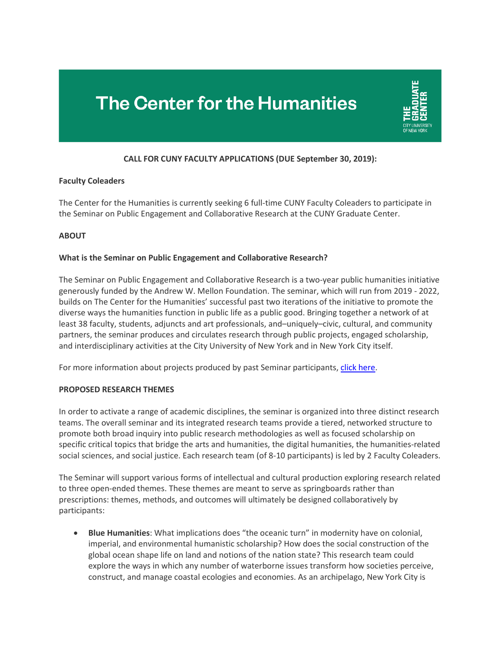# The Center for the Humanities



## **CALL FOR CUNY FACULTY APPLICATIONS (DUE September 30, 2019):**

#### **Faculty Coleaders**

The Center for the Humanities is currently seeking 6 full-time CUNY Faculty Coleaders to participate in the Seminar on Public Engagement and Collaborative Research at the CUNY Graduate Center.

## **ABOUT**

#### **What is the Seminar on Public Engagement and Collaborative Research?**

The Seminar on Public Engagement and Collaborative Research is a two-year public humanities initiative generously funded by the Andrew W. Mellon Foundation. The seminar, which will run from 2019 - 2022, builds on The Center for the Humanities' successful past two iterations of the initiative to promote the diverse ways the humanities function in public life as a public good. Bringing together a network of at least 38 faculty, students, adjuncts and art professionals, and–uniquely–civic, cultural, and community partners, the seminar produces and circulates research through public projects, engaged scholarship, and interdisciplinary activities at the City University of New York and in New York City itself.

For more information about projects produced by past Seminar participants, click [here.](https://www.centerforthehumanities.org/public-engagement/seminars)

#### **PROPOSED RESEARCH THEMES**

In order to activate a range of academic disciplines, the seminar is organized into three distinct research teams. The overall seminar and its integrated research teams provide a tiered, networked structure to promote both broad inquiry into public research methodologies as well as focused scholarship on specific critical topics that bridge the arts and humanities, the digital humanities, the humanities-related social sciences, and social justice. Each research team (of 8-10 participants) is led by 2 Faculty Coleaders.

The Seminar will support various forms of intellectual and cultural production exploring research related to three open-ended themes. These themes are meant to serve as springboards rather than prescriptions: themes, methods, and outcomes will ultimately be designed collaboratively by participants:

• **Blue Humanities**: What implications does "the oceanic turn" in modernity have on colonial, imperial, and environmental humanistic scholarship? How does the social construction of the global ocean shape life on land and notions of the nation state? This research team could explore the ways in which any number of waterborne issues transform how societies perceive, construct, and manage coastal ecologies and economies. As an archipelago, New York City is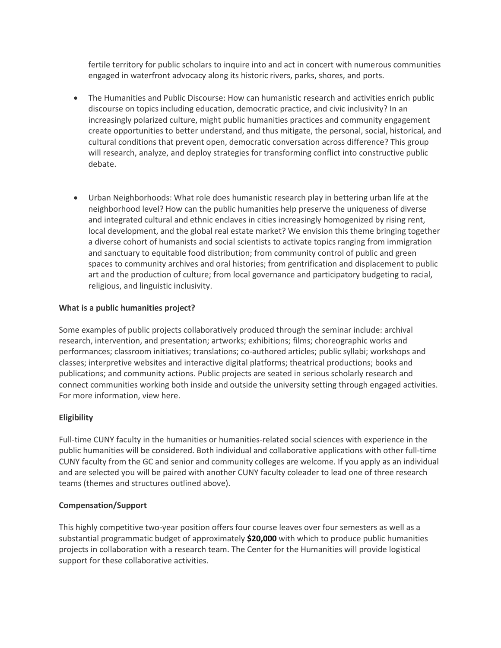fertile territory for public scholars to inquire into and act in concert with numerous communities engaged in waterfront advocacy along its historic rivers, parks, shores, and ports.

- The Humanities and Public Discourse: How can humanistic research and activities enrich public discourse on topics including education, democratic practice, and civic inclusivity? In an increasingly polarized culture, might public humanities practices and community engagement create opportunities to better understand, and thus mitigate, the personal, social, historical, and cultural conditions that prevent open, democratic conversation across difference? This group will research, analyze, and deploy strategies for transforming conflict into constructive public debate.
- Urban Neighborhoods: What role does humanistic research play in bettering urban life at the neighborhood level? How can the public humanities help preserve the uniqueness of diverse and integrated cultural and ethnic enclaves in cities increasingly homogenized by rising rent, local development, and the global real estate market? We envision this theme bringing together a diverse cohort of humanists and social scientists to activate topics ranging from immigration and sanctuary to equitable food distribution; from community control of public and green spaces to community archives and oral histories; from gentrification and displacement to public art and the production of culture; from local governance and participatory budgeting to racial, religious, and linguistic inclusivity.

# **What is a public humanities project?**

Some examples of public projects collaboratively produced through the seminar include: archival research, intervention, and presentation; artworks; exhibitions; films; choreographic works and performances; classroom initiatives; translations; co-authored articles; public syllabi; workshops and classes; interpretive websites and interactive digital platforms; theatrical productions; books and publications; and community actions. Public projects are seated in serious scholarly research and connect communities working both inside and outside the university setting through engaged activities. For more information, view here.

# **Eligibility**

Full-time CUNY faculty in the humanities or humanities-related social sciences with experience in the public humanities will be considered. Both individual and collaborative applications with other full-time CUNY faculty from the GC and senior and community colleges are welcome. If you apply as an individual and are selected you will be paired with another CUNY faculty coleader to lead one of three research teams (themes and structures outlined above).

## **Compensation/Support**

This highly competitive two-year position offers four course leaves over four semesters as well as a substantial programmatic budget of approximately **\$20,000** with which to produce public humanities projects in collaboration with a research team. The Center for the Humanities will provide logistical support for these collaborative activities.